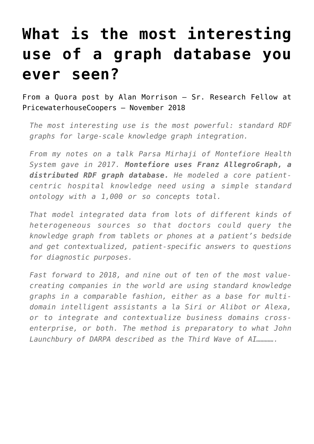## **[What is the most interesting](https://allegrograph.com/articles/what-is-the-most-interesting-use-of-a-graph-database-you-ever-seen/) [use of a graph database you](https://allegrograph.com/articles/what-is-the-most-interesting-use-of-a-graph-database-you-ever-seen/) [ever seen?](https://allegrograph.com/articles/what-is-the-most-interesting-use-of-a-graph-database-you-ever-seen/)**

From a Quora post by Alan Morrison – Sr. Research Fellow at PricewaterhouseCoopers – November 2018

*The most interesting use is the most powerful: standard RDF graphs for large-scale knowledge graph integration.*

*From my notes on a talk Parsa Mirhaji of Montefiore Health System gave in 2017. Montefiore uses Franz AllegroGraph, a distributed RDF graph database. He modeled a core patientcentric hospital knowledge need using a simple standard ontology with a 1,000 or so concepts total.*

*That model integrated data from lots of different kinds of heterogeneous sources so that doctors could query the knowledge graph from tablets or phones at a patient's bedside and get contextualized, patient-specific answers to questions for diagnostic purposes.*

*Fast forward to 2018, and nine out of ten of the most valuecreating companies in the world are using standard knowledge graphs in a comparable fashion, either as a base for multidomain intelligent assistants a la Siri or Alibot or Alexa, or to integrate and contextualize business domains crossenterprise, or both. The method is preparatory to what John Launchbury of DARPA described as the Third Wave of AI………….*